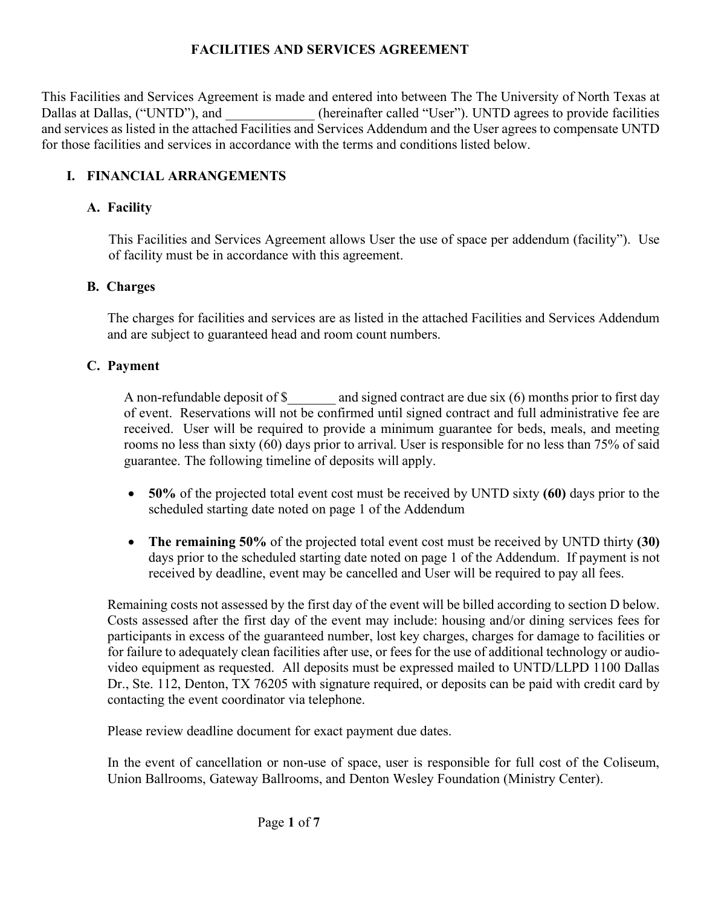# **FACILITIES AND SERVICES AGREEMENT**

This Facilities and Services Agreement is made and entered into between The The University of North Texas at Dallas at Dallas, ("UNTD"), and  $($ hereinafter called "User"). UNTD agrees to provide facilities and services as listed in the attached Facilities and Services Addendum and the User agrees to compensate UNTD for those facilities and services in accordance with the terms and conditions listed below.

## **I. FINANCIAL ARRANGEMENTS**

#### **A. Facility**

This Facilities and Services Agreement allows User the use of space per addendum (facility"). Use of facility must be in accordance with this agreement.

#### **B. Charges**

The charges for facilities and services are as listed in the attached Facilities and Services Addendum and are subject to guaranteed head and room count numbers.

# **C. Payment**

A non-refundable deposit of \$ and signed contract are due six (6) months prior to first day of event. Reservations will not be confirmed until signed contract and full administrative fee are received. User will be required to provide a minimum guarantee for beds, meals, and meeting rooms no less than sixty (60) days prior to arrival. User is responsible for no less than 75% of said guarantee. The following timeline of deposits will apply.

- **50%** of the projected total event cost must be received by UNTD sixty **(60)** days prior to the scheduled starting date noted on page 1 of the Addendum
- **The remaining 50%** of the projected total event cost must be received by UNTD thirty **(30)**  days prior to the scheduled starting date noted on page 1 of the Addendum. If payment is not received by deadline, event may be cancelled and User will be required to pay all fees.

Remaining costs not assessed by the first day of the event will be billed according to section D below. Costs assessed after the first day of the event may include: housing and/or dining services fees for participants in excess of the guaranteed number, lost key charges, charges for damage to facilities or for failure to adequately clean facilities after use, or fees for the use of additional technology or audiovideo equipment as requested. All deposits must be expressed mailed to UNTD/LLPD 1100 Dallas Dr., Ste. 112, Denton, TX 76205 with signature required, or deposits can be paid with credit card by contacting the event coordinator via telephone.

Please review deadline document for exact payment due dates.

In the event of cancellation or non-use of space, user is responsible for full cost of the Coliseum, Union Ballrooms, Gateway Ballrooms, and Denton Wesley Foundation (Ministry Center).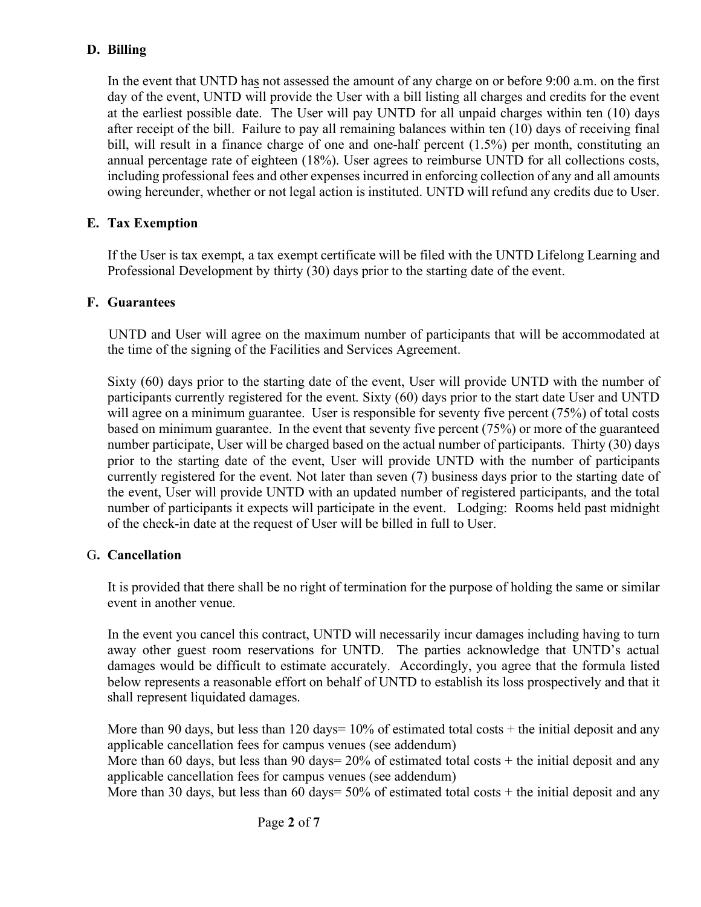## **D. Billing**

In the event that UNTD has not assessed the amount of any charge on or before 9:00 a.m. on the first day of the event, UNTD will provide the User with a bill listing all charges and credits for the event at the earliest possible date. The User will pay UNTD for all unpaid charges within ten (10) days after receipt of the bill. Failure to pay all remaining balances within ten (10) days of receiving final bill, will result in a finance charge of one and one-half percent (1.5%) per month, constituting an annual percentage rate of eighteen (18%). User agrees to reimburse UNTD for all collections costs, including professional fees and other expenses incurred in enforcing collection of any and all amounts owing hereunder, whether or not legal action is instituted. UNTD will refund any credits due to User.

## **E. Tax Exemption**

If the User is tax exempt, a tax exempt certificate will be filed with the UNTD Lifelong Learning and Professional Development by thirty (30) days prior to the starting date of the event.

#### **F. Guarantees**

UNTD and User will agree on the maximum number of participants that will be accommodated at the time of the signing of the Facilities and Services Agreement.

Sixty (60) days prior to the starting date of the event, User will provide UNTD with the number of participants currently registered for the event. Sixty (60) days prior to the start date User and UNTD will agree on a minimum guarantee. User is responsible for seventy five percent (75%) of total costs based on minimum guarantee. In the event that seventy five percent (75%) or more of the guaranteed number participate, User will be charged based on the actual number of participants. Thirty (30) days prior to the starting date of the event, User will provide UNTD with the number of participants currently registered for the event. Not later than seven (7) business days prior to the starting date of the event, User will provide UNTD with an updated number of registered participants, and the total number of participants it expects will participate in the event. Lodging: Rooms held past midnight of the check-in date at the request of User will be billed in full to User.

#### G**. Cancellation**

It is provided that there shall be no right of termination for the purpose of holding the same or similar event in another venue.

In the event you cancel this contract, UNTD will necessarily incur damages including having to turn away other guest room reservations for UNTD. The parties acknowledge that UNTD's actual damages would be difficult to estimate accurately. Accordingly, you agree that the formula listed below represents a reasonable effort on behalf of UNTD to establish its loss prospectively and that it shall represent liquidated damages.

More than 90 days, but less than 120 days=  $10\%$  of estimated total costs + the initial deposit and any applicable cancellation fees for campus venues (see addendum)

More than 60 days, but less than 90 days=  $20\%$  of estimated total costs + the initial deposit and any applicable cancellation fees for campus venues (see addendum)

More than 30 days, but less than 60 days= 50% of estimated total costs + the initial deposit and any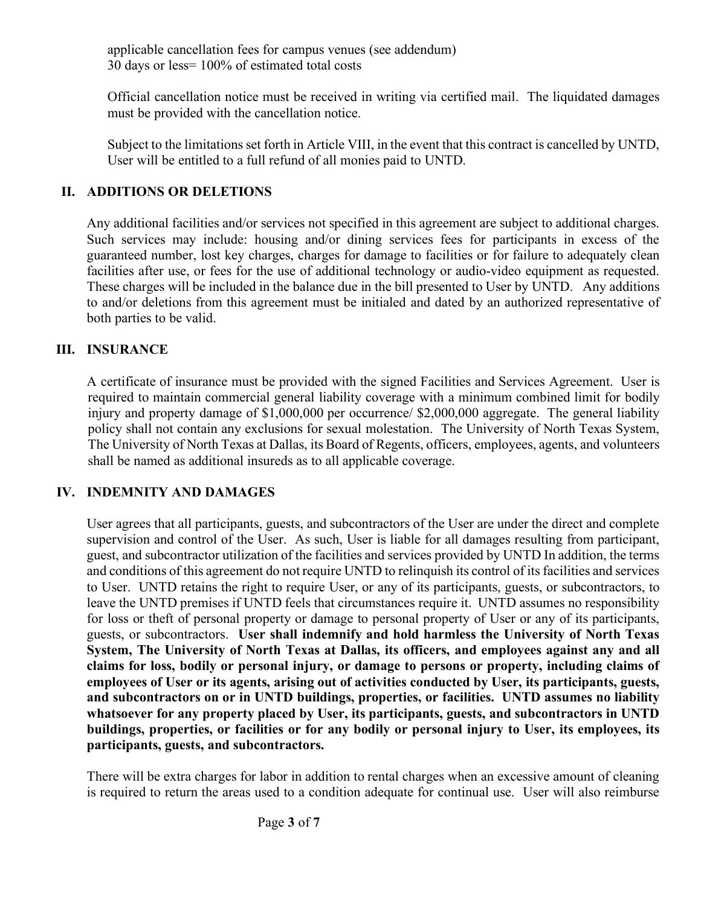applicable cancellation fees for campus venues (see addendum) 30 days or less= 100% of estimated total costs

Official cancellation notice must be received in writing via certified mail. The liquidated damages must be provided with the cancellation notice.

Subject to the limitations set forth in Article VIII, in the event that this contract is cancelled by UNTD, User will be entitled to a full refund of all monies paid to UNTD.

#### **II. ADDITIONS OR DELETIONS**

Any additional facilities and/or services not specified in this agreement are subject to additional charges. Such services may include: housing and/or dining services fees for participants in excess of the guaranteed number, lost key charges, charges for damage to facilities or for failure to adequately clean facilities after use, or fees for the use of additional technology or audio-video equipment as requested. These charges will be included in the balance due in the bill presented to User by UNTD. Any additions to and/or deletions from this agreement must be initialed and dated by an authorized representative of both parties to be valid.

#### **III. INSURANCE**

A certificate of insurance must be provided with the signed Facilities and Services Agreement. User is required to maintain commercial general liability coverage with a minimum combined limit for bodily injury and property damage of \$1,000,000 per occurrence/ \$2,000,000 aggregate. The general liability policy shall not contain any exclusions for sexual molestation. The University of North Texas System, The University of North Texas at Dallas, its Board of Regents, officers, employees, agents, and volunteers shall be named as additional insureds as to all applicable coverage.

#### **IV. INDEMNITY AND DAMAGES**

User agrees that all participants, guests, and subcontractors of the User are under the direct and complete supervision and control of the User. As such, User is liable for all damages resulting from participant, guest, and subcontractor utilization of the facilities and services provided by UNTD In addition, the terms and conditions of this agreement do not require UNTD to relinquish its control of its facilities and services to User. UNTD retains the right to require User, or any of its participants, guests, or subcontractors, to leave the UNTD premises if UNTD feels that circumstances require it. UNTD assumes no responsibility for loss or theft of personal property or damage to personal property of User or any of its participants, guests, or subcontractors. **User shall indemnify and hold harmless the University of North Texas System, The University of North Texas at Dallas, its officers, and employees against any and all claims for loss, bodily or personal injury, or damage to persons or property, including claims of employees of User or its agents, arising out of activities conducted by User, its participants, guests, and subcontractors on or in UNTD buildings, properties, or facilities. UNTD assumes no liability whatsoever for any property placed by User, its participants, guests, and subcontractors in UNTD buildings, properties, or facilities or for any bodily or personal injury to User, its employees, its participants, guests, and subcontractors.**

There will be extra charges for labor in addition to rental charges when an excessive amount of cleaning is required to return the areas used to a condition adequate for continual use. User will also reimburse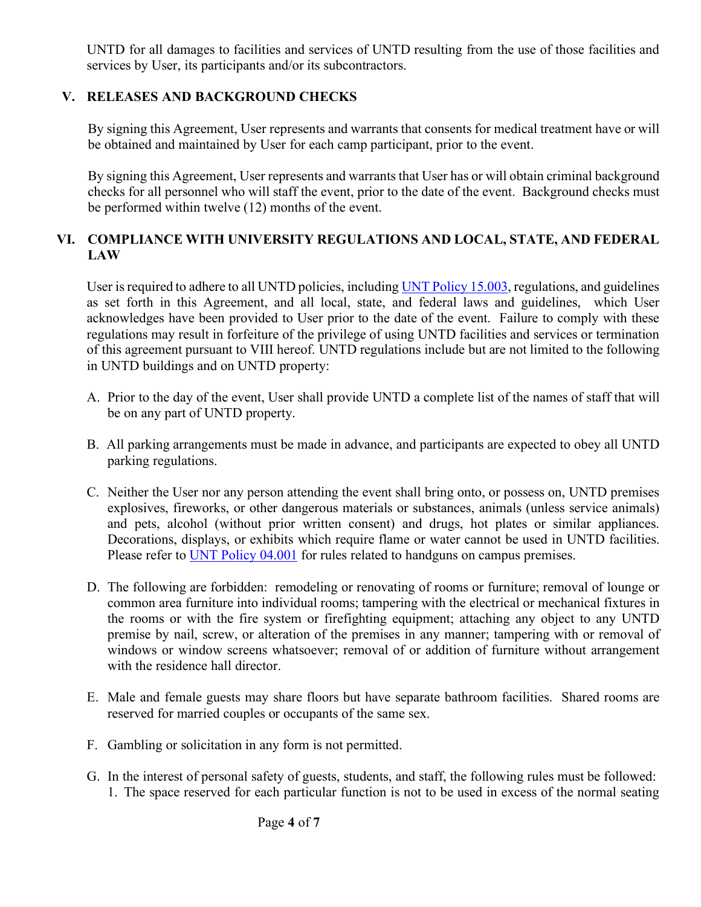UNTD for all damages to facilities and services of UNTD resulting from the use of those facilities and services by User, its participants and/or its subcontractors.

## **V. RELEASES AND BACKGROUND CHECKS**

By signing this Agreement, User represents and warrants that consents for medical treatment have or will be obtained and maintained by User for each camp participant, prior to the event.

By signing this Agreement, User represents and warrants that User has or will obtain criminal background checks for all personnel who will staff the event, prior to the date of the event. Background checks must be performed within twelve (12) months of the event.

## **VI. COMPLIANCE WITH UNIVERSITY REGULATIONS AND LOCAL, STATE, AND FEDERAL LAW**

User is required to adhere to all UNTD policies, including UNT Policy 15.003, regulations, and guidelines as set forth in this Agreement, and all local, state, and federal laws and guidelines, which User acknowledges have been provided to User prior to the date of the event. Failure to comply with these regulations may result in forfeiture of the privilege of using UNTD facilities and services or termination of this agreement pursuant to VIII hereof. UNTD regulations include but are not limited to the following in UNTD buildings and on UNTD property:

- A. Prior to the day of the event, User shall provide UNTD a complete list of the names of staff that will be on any part of UNTD property.
- B. All parking arrangements must be made in advance, and participants are expected to obey all UNTD parking regulations.
- C. Neither the User nor any person attending the event shall bring onto, or possess on, UNTD premises explosives, fireworks, or other dangerous materials or substances, animals (unless service animals) and pets, alcohol (without prior written consent) and drugs, hot plates or similar appliances. Decorations, displays, or exhibits which require flame or water cannot be used in UNTD facilities. Please refer to UNT Policy 04.001 for rules related to handguns on campus premises.
- D. The following are forbidden: remodeling or renovating of rooms or furniture; removal of lounge or common area furniture into individual rooms; tampering with the electrical or mechanical fixtures in the rooms or with the fire system or firefighting equipment; attaching any object to any UNTD premise by nail, screw, or alteration of the premises in any manner; tampering with or removal of windows or window screens whatsoever; removal of or addition of furniture without arrangement with the residence hall director.
- E. Male and female guests may share floors but have separate bathroom facilities. Shared rooms are reserved for married couples or occupants of the same sex.
- F. Gambling or solicitation in any form is not permitted.
- G. In the interest of personal safety of guests, students, and staff, the following rules must be followed: 1. The space reserved for each particular function is not to be used in excess of the normal seating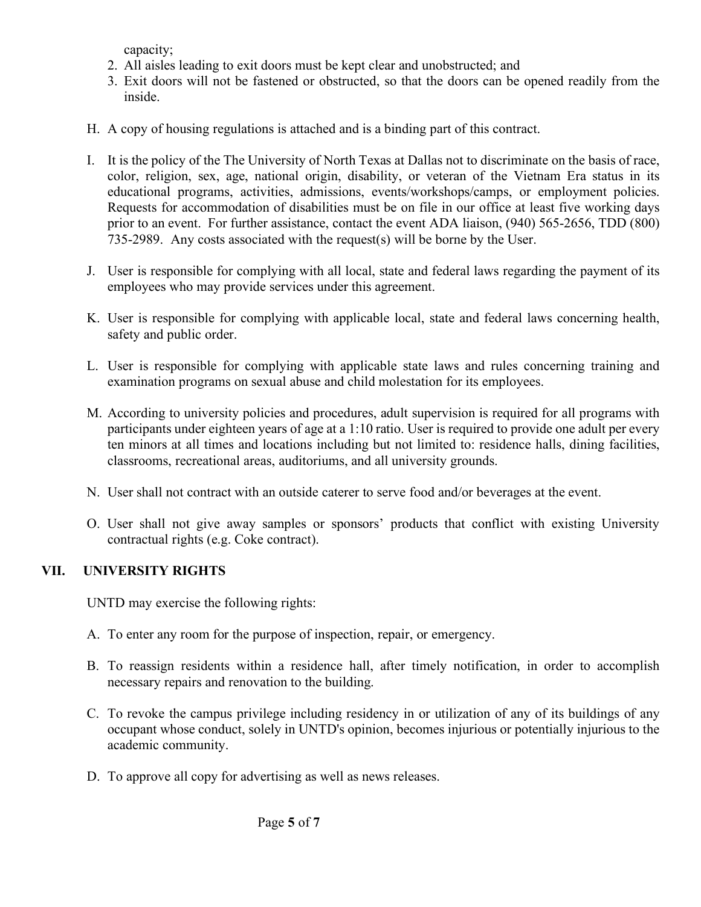capacity;

- 2. All aisles leading to exit doors must be kept clear and unobstructed; and
- 3. Exit doors will not be fastened or obstructed, so that the doors can be opened readily from the inside.
- H. A copy of housing regulations is attached and is a binding part of this contract.
- I. It is the policy of the The University of North Texas at Dallas not to discriminate on the basis of race, color, religion, sex, age, national origin, disability, or veteran of the Vietnam Era status in its educational programs, activities, admissions, events/workshops/camps, or employment policies. Requests for accommodation of disabilities must be on file in our office at least five working days prior to an event. For further assistance, contact the event ADA liaison, (940) 565-2656, TDD (800) 735-2989. Any costs associated with the request(s) will be borne by the User.
- J. User is responsible for complying with all local, state and federal laws regarding the payment of its employees who may provide services under this agreement.
- K. User is responsible for complying with applicable local, state and federal laws concerning health, safety and public order.
- L. User is responsible for complying with applicable state laws and rules concerning training and examination programs on sexual abuse and child molestation for its employees.
- M. According to university policies and procedures, adult supervision is required for all programs with participants under eighteen years of age at a 1:10 ratio. User is required to provide one adult per every ten minors at all times and locations including but not limited to: residence halls, dining facilities, classrooms, recreational areas, auditoriums, and all university grounds.
- N. User shall not contract with an outside caterer to serve food and/or beverages at the event.
- O. User shall not give away samples or sponsors' products that conflict with existing University contractual rights (e.g. Coke contract).

#### **VII. UNIVERSITY RIGHTS**

UNTD may exercise the following rights:

- A. To enter any room for the purpose of inspection, repair, or emergency.
- B. To reassign residents within a residence hall, after timely notification, in order to accomplish necessary repairs and renovation to the building.
- C. To revoke the campus privilege including residency in or utilization of any of its buildings of any occupant whose conduct, solely in UNTD's opinion, becomes injurious or potentially injurious to the academic community.
- D. To approve all copy for advertising as well as news releases.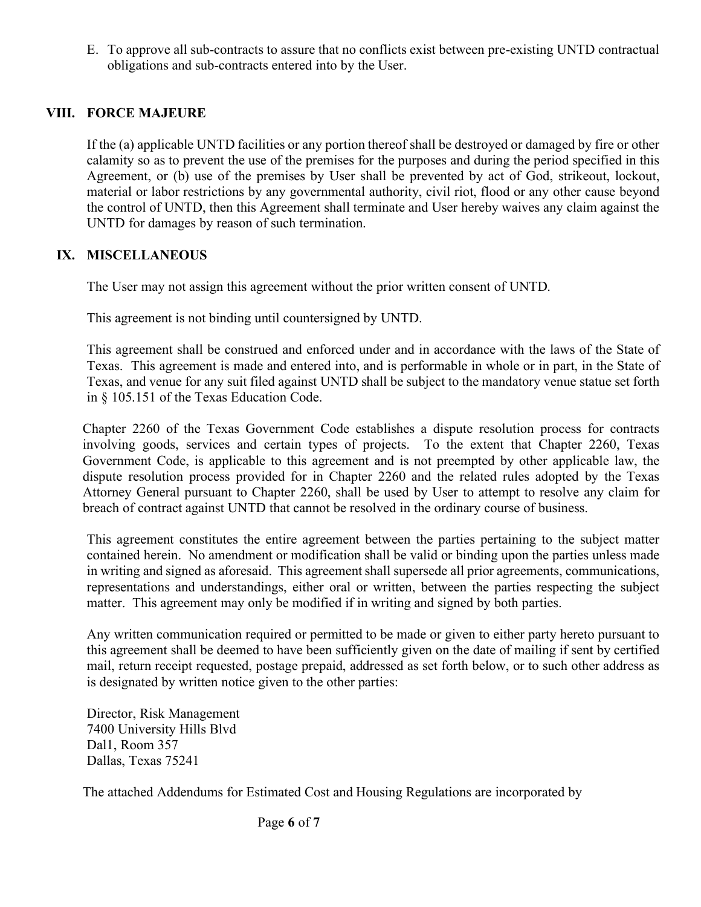E. To approve all sub-contracts to assure that no conflicts exist between pre-existing UNTD contractual obligations and sub-contracts entered into by the User.

#### **VIII. FORCE MAJEURE**

If the (a) applicable UNTD facilities or any portion thereof shall be destroyed or damaged by fire or other calamity so as to prevent the use of the premises for the purposes and during the period specified in this Agreement, or (b) use of the premises by User shall be prevented by act of God, strikeout, lockout, material or labor restrictions by any governmental authority, civil riot, flood or any other cause beyond the control of UNTD, then this Agreement shall terminate and User hereby waives any claim against the UNTD for damages by reason of such termination.

#### **IX. MISCELLANEOUS**

The User may not assign this agreement without the prior written consent of UNTD.

This agreement is not binding until countersigned by UNTD.

This agreement shall be construed and enforced under and in accordance with the laws of the State of Texas. This agreement is made and entered into, and is performable in whole or in part, in the State of Texas, and venue for any suit filed against UNTD shall be subject to the mandatory venue statue set forth in § 105.151 of the Texas Education Code.

Chapter 2260 of the Texas Government Code establishes a dispute resolution process for contracts involving goods, services and certain types of projects. To the extent that Chapter 2260, Texas Government Code, is applicable to this agreement and is not preempted by other applicable law, the dispute resolution process provided for in Chapter 2260 and the related rules adopted by the Texas Attorney General pursuant to Chapter 2260, shall be used by User to attempt to resolve any claim for breach of contract against UNTD that cannot be resolved in the ordinary course of business.

This agreement constitutes the entire agreement between the parties pertaining to the subject matter contained herein. No amendment or modification shall be valid or binding upon the parties unless made in writing and signed as aforesaid. This agreement shall supersede all prior agreements, communications, representations and understandings, either oral or written, between the parties respecting the subject matter. This agreement may only be modified if in writing and signed by both parties.

Any written communication required or permitted to be made or given to either party hereto pursuant to this agreement shall be deemed to have been sufficiently given on the date of mailing if sent by certified mail, return receipt requested, postage prepaid, addressed as set forth below, or to such other address as is designated by written notice given to the other parties:

Director, Risk Management 7400 University Hills Blvd Dal1, Room 357 Dallas, Texas 75241

The attached Addendums for Estimated Cost and Housing Regulations are incorporated by